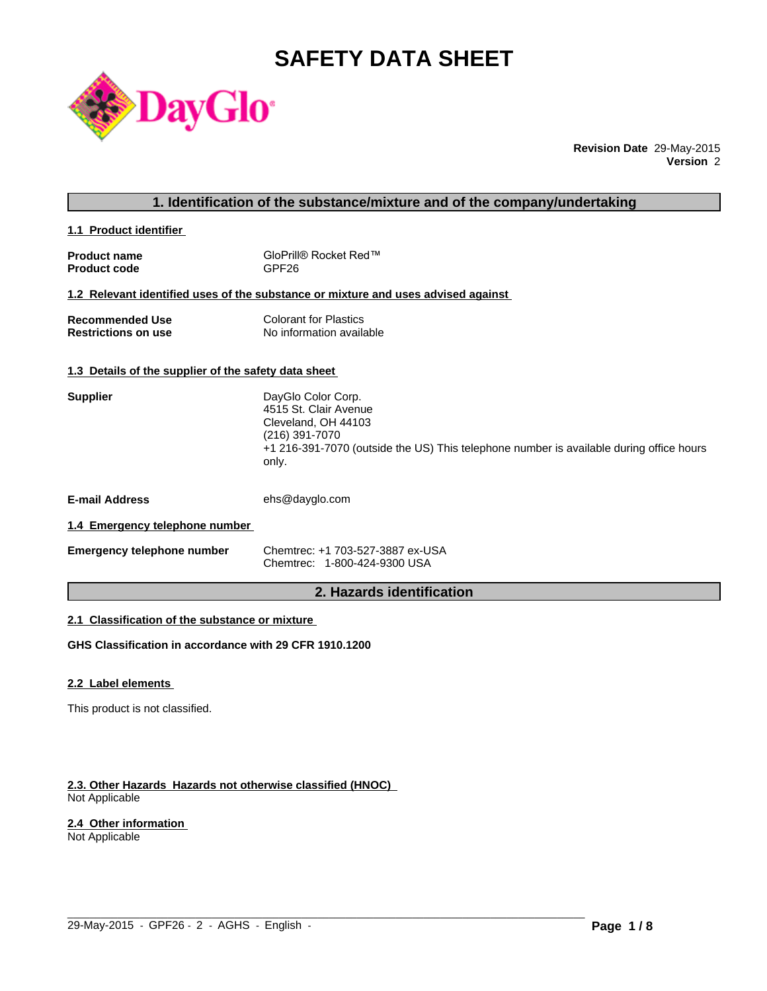# **SAFETY DATA SHEET**



**Revision Date** 29-May-2015 **Version** 2

# **1. Identification of the substance/mixture and of the company/undertaking**

**1.1 Product identifier** 

| <b>Product name</b> | GloPrill® Rocket Red™ |
|---------------------|-----------------------|
| <b>Product code</b> | GPF26                 |

#### **1.2 Relevant identified uses of the substance or mixture and uses advised against**

| Recommended Use            | <b>Colorant for Plastics</b> |
|----------------------------|------------------------------|
| <b>Restrictions on use</b> | No information available     |

# **1.3 Details of the supplier of the safety data sheet**

| <b>Supplier</b>                | DayGlo Color Corp.<br>4515 St. Clair Avenue<br>Cleveland, OH 44103<br>(216) 391-7070<br>+1 216-391-7070 (outside the US) This telephone number is available during office hours<br>only. |
|--------------------------------|------------------------------------------------------------------------------------------------------------------------------------------------------------------------------------------|
| <b>E-mail Address</b>          | ehs@dayglo.com                                                                                                                                                                           |
| 1.4 Emergency telephone number |                                                                                                                                                                                          |

| <b>Emergency telephone number</b> | Chemtrec: +1 703-527-3887 ex-USA |
|-----------------------------------|----------------------------------|
|                                   | Chemtrec: 1-800-424-9300 USA     |

# **2. Hazards identification**

 $\_$  ,  $\_$  ,  $\_$  ,  $\_$  ,  $\_$  ,  $\_$  ,  $\_$  ,  $\_$  ,  $\_$  ,  $\_$  ,  $\_$  ,  $\_$  ,  $\_$  ,  $\_$  ,  $\_$  ,  $\_$  ,  $\_$  ,  $\_$  ,  $\_$  ,  $\_$  ,  $\_$  ,  $\_$  ,  $\_$  ,  $\_$  ,  $\_$  ,  $\_$  ,  $\_$  ,  $\_$  ,  $\_$  ,  $\_$  ,  $\_$  ,  $\_$  ,  $\_$  ,  $\_$  ,  $\_$  ,  $\_$  ,  $\_$  ,

# **2.1 Classification of the substance or mixture**

**GHS Classification in accordance with 29 CFR 1910.1200**

#### **2.2 Label elements**

This product is not classified.

#### **2.3. Other Hazards Hazards not otherwise classified (HNOC)**  Not Applicable

### **2.4 Other information**

Not Applicable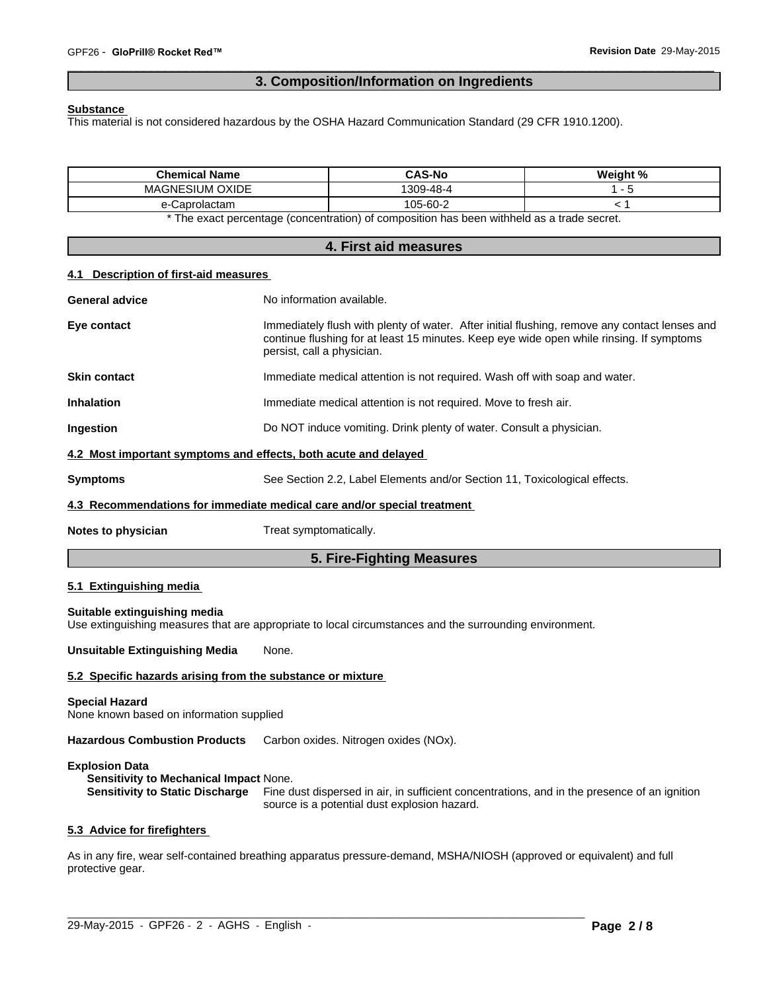# **3. Composition/Information on Ingredients**

 $\overline{\phantom{a}}$  ,  $\overline{\phantom{a}}$  ,  $\overline{\phantom{a}}$  ,  $\overline{\phantom{a}}$  ,  $\overline{\phantom{a}}$  ,  $\overline{\phantom{a}}$  ,  $\overline{\phantom{a}}$  ,  $\overline{\phantom{a}}$  ,  $\overline{\phantom{a}}$  ,  $\overline{\phantom{a}}$  ,  $\overline{\phantom{a}}$  ,  $\overline{\phantom{a}}$  ,  $\overline{\phantom{a}}$  ,  $\overline{\phantom{a}}$  ,  $\overline{\phantom{a}}$  ,  $\overline{\phantom{a}}$ 

#### **Substance**

This material is not considered hazardous by the OSHA Hazard Communication Standard (29 CFR 1910.1200).

| <b>Chemical Name</b>                              | <b>CAS-No</b>  | -40/<br>Weight |
|---------------------------------------------------|----------------|----------------|
| <b>OXIDE</b><br><b>SIUM</b><br>MAGNE <sup>®</sup> | ነ-48-4<br>309- |                |
| aprolactam                                        | 105-60-2       |                |

\* The exact percentage (concentration) of composition has been withheld as a trade secret.

| 4. First aid measures                 |                                                                                                                                                                                                                         |  |  |
|---------------------------------------|-------------------------------------------------------------------------------------------------------------------------------------------------------------------------------------------------------------------------|--|--|
| 4.1 Description of first-aid measures |                                                                                                                                                                                                                         |  |  |
| <b>General advice</b>                 | No information available.                                                                                                                                                                                               |  |  |
| Eye contact                           | Immediately flush with plenty of water. After initial flushing, remove any contact lenses and<br>continue flushing for at least 15 minutes. Keep eye wide open while rinsing. If symptoms<br>persist, call a physician. |  |  |
| <b>Skin contact</b>                   | Immediate medical attention is not required. Wash off with soap and water.                                                                                                                                              |  |  |
| <b>Inhalation</b>                     | Immediate medical attention is not required. Move to fresh air.                                                                                                                                                         |  |  |
| Ingestion                             | Do NOT induce vomiting. Drink plenty of water. Consult a physician.                                                                                                                                                     |  |  |
|                                       | 4.2 Most important symptoms and effects, both acute and delayed                                                                                                                                                         |  |  |
| <b>Symptoms</b>                       | See Section 2.2, Label Elements and/or Section 11, Toxicological effects.                                                                                                                                               |  |  |
|                                       | 4.3 Recommendations for immediate medical care and/or special treatment                                                                                                                                                 |  |  |
| Notes to physician                    | Treat symptomatically.                                                                                                                                                                                                  |  |  |

# **5. Fire-Fighting Measures**

# **5.1 Extinguishing media**

**Suitable extinguishing media** Use extinguishing measures that are appropriate to local circumstances and the surrounding environment.

**Unsuitable Extinguishing Media** None.

#### **5.2 Specific hazards arising from the substance or mixture**

#### **Special Hazard**

None known based on information supplied

Hazardous Combustion Products Carbon oxides. Nitrogen oxides (NOx).

#### **Explosion Data**

**Sensitivity to Mechanical Impact** None.

**Sensitivity to Static Discharge** Fine dust dispersed in air, in sufficient concentrations, and in the presence of an ignition source is a potential dust explosion hazard.

# **5.3 Advice for firefighters**

As in any fire, wear self-contained breathing apparatus pressure-demand, MSHA/NIOSH (approved or equivalent) and full protective gear.

 $\_$  ,  $\_$  ,  $\_$  ,  $\_$  ,  $\_$  ,  $\_$  ,  $\_$  ,  $\_$  ,  $\_$  ,  $\_$  ,  $\_$  ,  $\_$  ,  $\_$  ,  $\_$  ,  $\_$  ,  $\_$  ,  $\_$  ,  $\_$  ,  $\_$  ,  $\_$  ,  $\_$  ,  $\_$  ,  $\_$  ,  $\_$  ,  $\_$  ,  $\_$  ,  $\_$  ,  $\_$  ,  $\_$  ,  $\_$  ,  $\_$  ,  $\_$  ,  $\_$  ,  $\_$  ,  $\_$  ,  $\_$  ,  $\_$  ,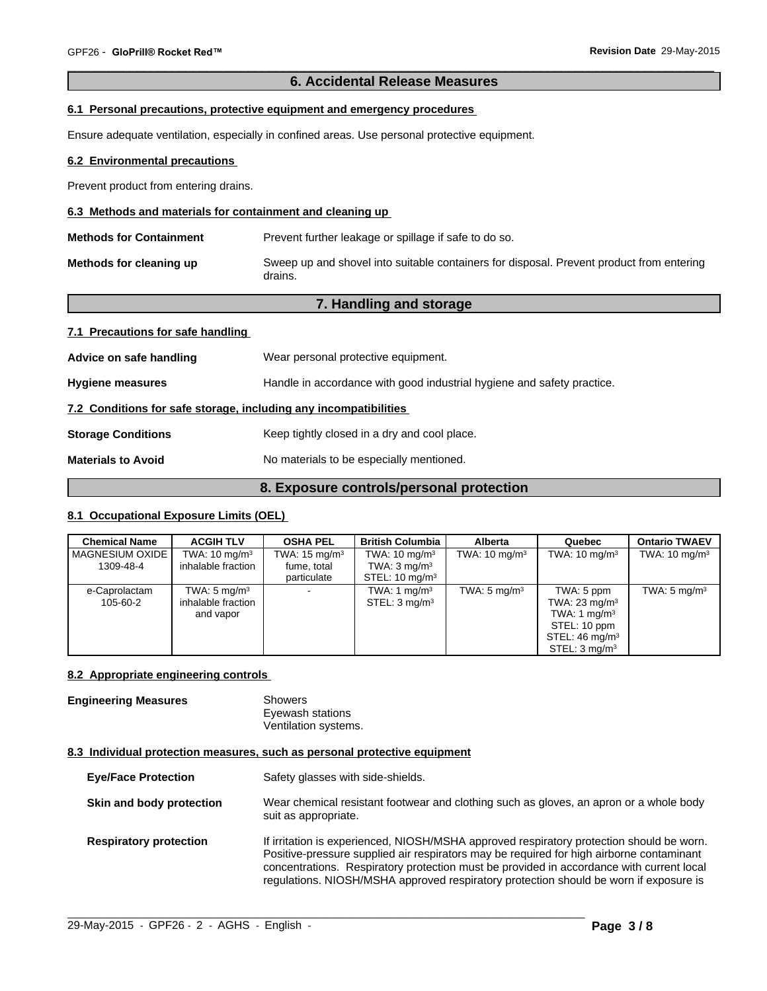# **6. Accidental Release Measures**

 $\overline{\phantom{a}}$  ,  $\overline{\phantom{a}}$  ,  $\overline{\phantom{a}}$  ,  $\overline{\phantom{a}}$  ,  $\overline{\phantom{a}}$  ,  $\overline{\phantom{a}}$  ,  $\overline{\phantom{a}}$  ,  $\overline{\phantom{a}}$  ,  $\overline{\phantom{a}}$  ,  $\overline{\phantom{a}}$  ,  $\overline{\phantom{a}}$  ,  $\overline{\phantom{a}}$  ,  $\overline{\phantom{a}}$  ,  $\overline{\phantom{a}}$  ,  $\overline{\phantom{a}}$  ,  $\overline{\phantom{a}}$ 

#### **6.1 Personal precautions, protective equipment and emergency procedures**

Ensure adequate ventilation, especially in confined areas. Use personal protective equipment.

#### **6.2 Environmental precautions**

Prevent product from entering drains.

#### **6.3 Methods and materials for containment and cleaning up**

| <b>Methods for Containment</b> | Prevent further leakage or spillage if safe to do so.                                               |
|--------------------------------|-----------------------------------------------------------------------------------------------------|
| Methods for cleaning up        | Sweep up and shovel into suitable containers for disposal. Prevent product from entering<br>drains. |

# **7. Handling and storage**

#### **7.1 Precautions for safe handling**

| Advice on safe handling                                          | Wear personal protective equipment.                                    |
|------------------------------------------------------------------|------------------------------------------------------------------------|
| <b>Hygiene measures</b>                                          | Handle in accordance with good industrial hygiene and safety practice. |
| 7.2 Conditions for safe storage, including any incompatibilities |                                                                        |
| <b>Storage Conditions</b>                                        | Keep tightly closed in a dry and cool place.                           |
| <b>Materials to Avoid</b>                                        | No materials to be especially mentioned.                               |

# **8. Exposure controls/personal protection**

# **8.1 Occupational Exposure Limits (OEL)**

| <b>Chemical Name</b>         | <b>ACGIH TLV</b>                                           | <b>OSHA PEL</b>                                        | <b>British Columbia</b>                                                          | <b>Alberta</b>           | Quebec                                                                                                                            | <b>Ontario TWAEV</b>     |
|------------------------------|------------------------------------------------------------|--------------------------------------------------------|----------------------------------------------------------------------------------|--------------------------|-----------------------------------------------------------------------------------------------------------------------------------|--------------------------|
| MAGNESIUM OXIDE<br>1309-48-4 | TWA: $10 \text{ mg/m}^3$<br>inhalable fraction             | TWA: $15 \text{ mg/m}^3$<br>fume, total<br>particulate | TWA: $10 \text{ mg/m}^3$<br>TWA: $3 \text{ mg/m}^3$<br>STEL: $10 \text{ mg/m}^3$ | TWA: $10 \text{ mg/m}^3$ | TWA: $10 \text{ mg/m}^3$                                                                                                          | TWA: $10 \text{ mg/m}^3$ |
| e-Caprolactam<br>105-60-2    | TWA: $5 \text{ mg/m}^3$<br>inhalable fraction<br>and vapor | $\sim$                                                 | TWA: 1 $mq/m3$<br>STEL: 3 mg/m <sup>3</sup>                                      | TWA: $5 \text{ mg/m}^3$  | TWA: 5 ppm<br>TWA: $23 \text{ mg/m}^3$<br>TWA: 1 $mq/m3$<br>STEL: 10 ppm<br>STEL: $46 \text{ mg/m}^3$<br>STEL: $3 \text{ ma/m}^3$ | TWA: $5 \text{ mg/m}^3$  |

#### **8.2 Appropriate engineering controls**

# **Engineering Measures** Showers

Eyewash stations Ventilation systems.

#### **8.3 Individual protection measures, such as personal protective equipment**

- **Eye/Face Protection** Safety glasses with side-shields.
- **Skin and body protection** Wear chemical resistant footwear and clothing such as gloves, an apron or a whole body suit as appropriate.
- **Respiratory protection** If irritation is experienced, NIOSH/MSHA approved respiratory protection should be worn. Positive-pressure supplied air respirators may be required for high airborne contaminant concentrations. Respiratory protection must be provided in accordance with current local regulations. NIOSH/MSHA approved respiratory protection should be worn if exposure is

 $\_$  ,  $\_$  ,  $\_$  ,  $\_$  ,  $\_$  ,  $\_$  ,  $\_$  ,  $\_$  ,  $\_$  ,  $\_$  ,  $\_$  ,  $\_$  ,  $\_$  ,  $\_$  ,  $\_$  ,  $\_$  ,  $\_$  ,  $\_$  ,  $\_$  ,  $\_$  ,  $\_$  ,  $\_$  ,  $\_$  ,  $\_$  ,  $\_$  ,  $\_$  ,  $\_$  ,  $\_$  ,  $\_$  ,  $\_$  ,  $\_$  ,  $\_$  ,  $\_$  ,  $\_$  ,  $\_$  ,  $\_$  ,  $\_$  ,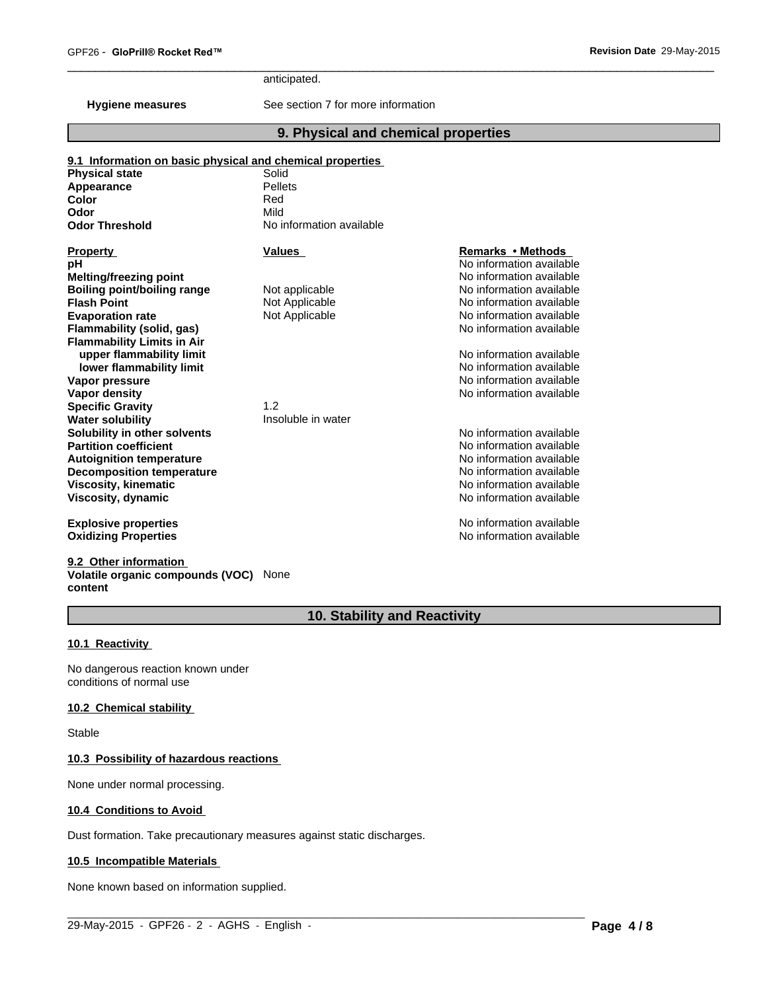anticipated.

**Hygiene measures** See section 7 for more information

# **9. Physical and chemical properties**

 $\overline{\phantom{a}}$  ,  $\overline{\phantom{a}}$  ,  $\overline{\phantom{a}}$  ,  $\overline{\phantom{a}}$  ,  $\overline{\phantom{a}}$  ,  $\overline{\phantom{a}}$  ,  $\overline{\phantom{a}}$  ,  $\overline{\phantom{a}}$  ,  $\overline{\phantom{a}}$  ,  $\overline{\phantom{a}}$  ,  $\overline{\phantom{a}}$  ,  $\overline{\phantom{a}}$  ,  $\overline{\phantom{a}}$  ,  $\overline{\phantom{a}}$  ,  $\overline{\phantom{a}}$  ,  $\overline{\phantom{a}}$ 

| <b>Physical state</b>             | Solid                    |                          |  |
|-----------------------------------|--------------------------|--------------------------|--|
| <b>Appearance</b>                 | Pellets                  |                          |  |
| Color                             | Red                      |                          |  |
| Odor                              | Mild                     |                          |  |
| <b>Odor Threshold</b>             | No information available |                          |  |
| <b>Property</b>                   | <b>Values</b>            | Remarks • Methods        |  |
| pН                                |                          | No information available |  |
| <b>Melting/freezing point</b>     |                          | No information available |  |
| Boiling point/boiling range       | Not applicable           | No information available |  |
| <b>Flash Point</b>                | Not Applicable           | No information available |  |
| <b>Evaporation rate</b>           | Not Applicable           | No information available |  |
| Flammability (solid, gas)         |                          | No information available |  |
| <b>Flammability Limits in Air</b> |                          |                          |  |
| upper flammability limit          |                          | No information available |  |
| lower flammability limit          |                          | No information available |  |
| Vapor pressure                    |                          | No information available |  |
| Vapor density                     |                          | No information available |  |
| <b>Specific Gravity</b>           | 1.2                      |                          |  |
| <b>Water solubility</b>           | Insoluble in water       |                          |  |
| Solubility in other solvents      |                          | No information available |  |
| <b>Partition coefficient</b>      |                          | No information available |  |
| <b>Autoignition temperature</b>   |                          | No information available |  |
| <b>Decomposition temperature</b>  |                          | No information available |  |
| Viscosity, kinematic              |                          | No information available |  |
| Viscosity, dynamic                |                          | No information available |  |
| <b>Explosive properties</b>       |                          | No information available |  |
| <b>Oxidizing Properties</b>       |                          | No information available |  |

**9.2 Other information Volatile organic compounds (VOC)** None **content**

# **10. Stability and Reactivity**

 $\_$  ,  $\_$  ,  $\_$  ,  $\_$  ,  $\_$  ,  $\_$  ,  $\_$  ,  $\_$  ,  $\_$  ,  $\_$  ,  $\_$  ,  $\_$  ,  $\_$  ,  $\_$  ,  $\_$  ,  $\_$  ,  $\_$  ,  $\_$  ,  $\_$  ,  $\_$  ,  $\_$  ,  $\_$  ,  $\_$  ,  $\_$  ,  $\_$  ,  $\_$  ,  $\_$  ,  $\_$  ,  $\_$  ,  $\_$  ,  $\_$  ,  $\_$  ,  $\_$  ,  $\_$  ,  $\_$  ,  $\_$  ,  $\_$  ,

#### **10.1 Reactivity**

No dangerous reaction known under conditions of normal use

# **10.2 Chemical stability**

Stable

#### **10.3 Possibility of hazardous reactions**

None under normal processing.

#### **10.4 Conditions to Avoid**

Dust formation. Take precautionary measures against static discharges.

#### **10.5 Incompatible Materials**

None known based on information supplied.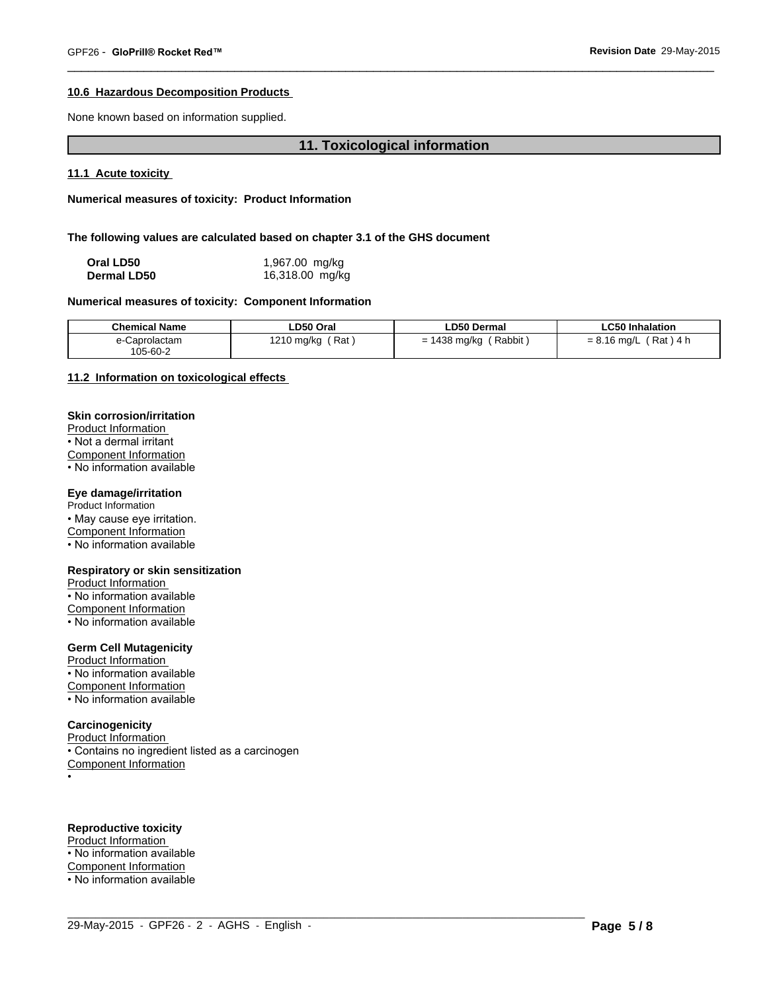### **10.6 Hazardous Decomposition Products**

None known based on information supplied.

# **11. Toxicological information**

 $\overline{\phantom{a}}$  ,  $\overline{\phantom{a}}$  ,  $\overline{\phantom{a}}$  ,  $\overline{\phantom{a}}$  ,  $\overline{\phantom{a}}$  ,  $\overline{\phantom{a}}$  ,  $\overline{\phantom{a}}$  ,  $\overline{\phantom{a}}$  ,  $\overline{\phantom{a}}$  ,  $\overline{\phantom{a}}$  ,  $\overline{\phantom{a}}$  ,  $\overline{\phantom{a}}$  ,  $\overline{\phantom{a}}$  ,  $\overline{\phantom{a}}$  ,  $\overline{\phantom{a}}$  ,  $\overline{\phantom{a}}$ 

**11.1 Acute toxicity** 

**Numerical measures of toxicity: Product Information**

**The following values are calculated based on chapter 3.1 of the GHS document**

| Oral LD50          | 1,967.00 mg/kg  |
|--------------------|-----------------|
| <b>Dermal LD50</b> | 16,318.00 mg/kg |

#### **Numerical measures of toxicity: Component Information**

| <b>Chemical Name</b>      | LD50 Oral                 | LD50 Dermal                                | <b>LC50 Inhalation</b>                |
|---------------------------|---------------------------|--------------------------------------------|---------------------------------------|
| e-Caprolactam<br>105-60-2 | Rat<br>1010<br>،210 mg/kg | Rabbit<br>$\overline{A}$<br>438 mg/kg<br>= | Rat<br>0 1 C<br>$= 8.16$ mg/L<br>็4 h |

 $\_$  ,  $\_$  ,  $\_$  ,  $\_$  ,  $\_$  ,  $\_$  ,  $\_$  ,  $\_$  ,  $\_$  ,  $\_$  ,  $\_$  ,  $\_$  ,  $\_$  ,  $\_$  ,  $\_$  ,  $\_$  ,  $\_$  ,  $\_$  ,  $\_$  ,  $\_$  ,  $\_$  ,  $\_$  ,  $\_$  ,  $\_$  ,  $\_$  ,  $\_$  ,  $\_$  ,  $\_$  ,  $\_$  ,  $\_$  ,  $\_$  ,  $\_$  ,  $\_$  ,  $\_$  ,  $\_$  ,  $\_$  ,  $\_$  ,

### **11.2 Information on toxicological effects**

#### **Skin corrosion/irritation**

Product Information • Not a dermal irritant Component Information

• No information available

#### **Eye damage/irritation**

Product Information

• May cause eye irritation.

Component Information

• No information available

#### **Respiratory or skin sensitization**

Product Information • No information available Component Information • No information available

### **Germ Cell Mutagenicity**

Product Information • No information available Component Information

• No information available

#### **Carcinogenicity**

Product Information • Contains no ingredient listed as a carcinogen Component Information

•

# **Reproductive toxicity**

Product Information

• No information available

Component Information

• No information available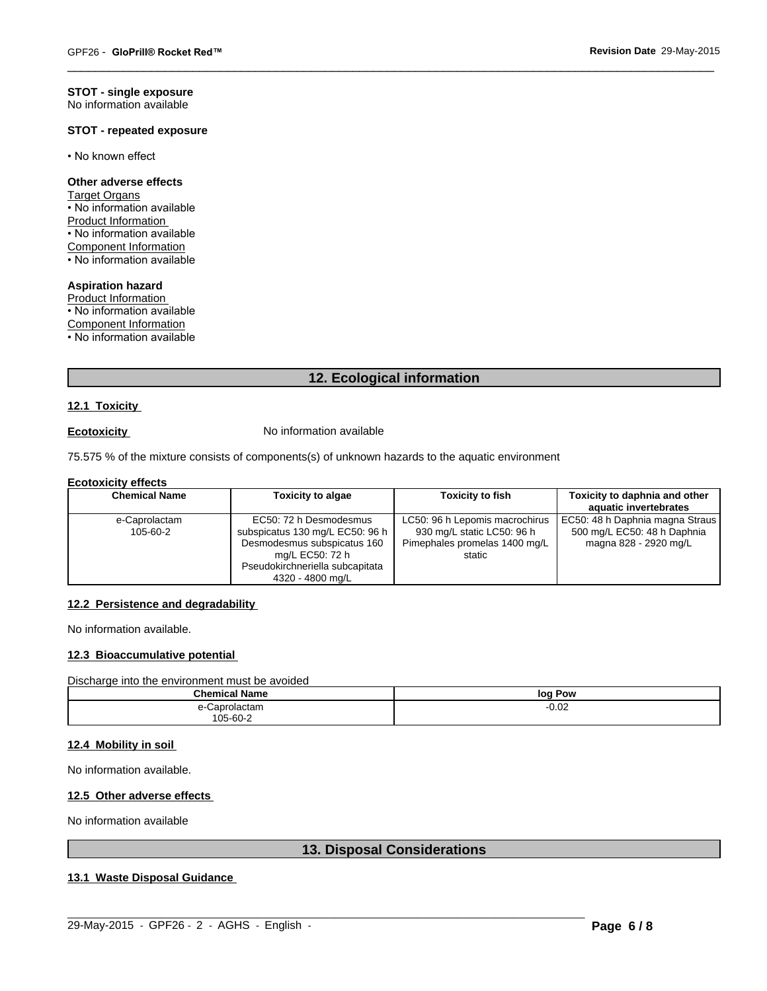#### **STOT - single exposure** No information available

### **STOT - repeated exposure**

• No known effect

#### **Other adverse effects**

Target Organs • No information available Product Information • No information available Component Information • No information available

#### **Aspiration hazard**

Product Information • No information available

Component Information

• No information available

# **12. Ecological information**

 $\overline{\phantom{a}}$  ,  $\overline{\phantom{a}}$  ,  $\overline{\phantom{a}}$  ,  $\overline{\phantom{a}}$  ,  $\overline{\phantom{a}}$  ,  $\overline{\phantom{a}}$  ,  $\overline{\phantom{a}}$  ,  $\overline{\phantom{a}}$  ,  $\overline{\phantom{a}}$  ,  $\overline{\phantom{a}}$  ,  $\overline{\phantom{a}}$  ,  $\overline{\phantom{a}}$  ,  $\overline{\phantom{a}}$  ,  $\overline{\phantom{a}}$  ,  $\overline{\phantom{a}}$  ,  $\overline{\phantom{a}}$ 

#### **12.1 Toxicity**

**Ecotoxicity No information available** 

75.575 % of the mixture consists of components(s) of unknown hazards to the aquatic environment

#### **Ecotoxicity effects**

| <b>Chemical Name</b>      | <b>Toxicity to algae</b>                                                                                                                                           | <b>Toxicity to fish</b>                                                                                 | Toxicity to daphnia and other<br>aquatic invertebrates                                    |
|---------------------------|--------------------------------------------------------------------------------------------------------------------------------------------------------------------|---------------------------------------------------------------------------------------------------------|-------------------------------------------------------------------------------------------|
| e-Caprolactam<br>105-60-2 | EC50: 72 h Desmodesmus<br>subspicatus 130 mg/L EC50: 96 h<br>Desmodesmus subspicatus 160<br>mg/L EC50: 72 h<br>Pseudokirchneriella subcapitata<br>4320 - 4800 mg/L | LC50: 96 h Lepomis macrochirus<br>930 mg/L static LC50: 96 h<br>Pimephales promelas 1400 mg/L<br>static | EC50: 48 h Daphnia magna Straus  <br>500 mg/L EC50: 48 h Daphnia<br>magna 828 - 2920 mg/L |

#### **12.2 Persistence and degradability**

No information available.

# **12.3 Bioaccumulative potential**

Discharge into the environment must be avoided

| <b>Chemical Name</b>  | * Pow<br>log |
|-----------------------|--------------|
| . Lantologia .<br>ыан | $-0.02$      |
| 105-60-2<br>$ -$      |              |

#### **12.4 Mobility in soil**

No information available.

# **12.5 Other adverse effects**

No information available

# **13. Disposal Considerations**

# **13.1 Waste Disposal Guidance**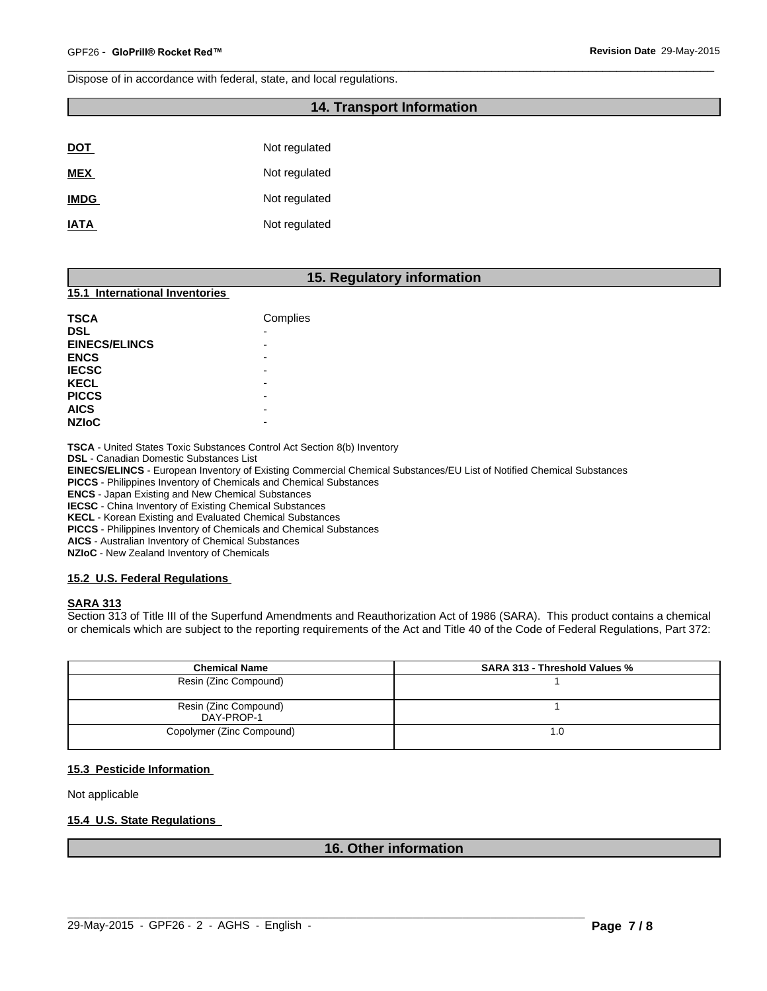Dispose of in accordance with federal, state, and local regulations.

# **14. Transport Information**

 $\overline{\phantom{a}}$  ,  $\overline{\phantom{a}}$  ,  $\overline{\phantom{a}}$  ,  $\overline{\phantom{a}}$  ,  $\overline{\phantom{a}}$  ,  $\overline{\phantom{a}}$  ,  $\overline{\phantom{a}}$  ,  $\overline{\phantom{a}}$  ,  $\overline{\phantom{a}}$  ,  $\overline{\phantom{a}}$  ,  $\overline{\phantom{a}}$  ,  $\overline{\phantom{a}}$  ,  $\overline{\phantom{a}}$  ,  $\overline{\phantom{a}}$  ,  $\overline{\phantom{a}}$  ,  $\overline{\phantom{a}}$ 

| <b>DOT</b>  | Not regulated |
|-------------|---------------|
| <b>MEX</b>  | Not regulated |
| <b>IMDG</b> | Not regulated |
| <b>IATA</b> | Not regulated |

# **15. Regulatory information**

#### **15.1 International Inventories**

| <b>TSCA</b>          | Complies |
|----------------------|----------|
| <b>DSL</b>           | ٠        |
| <b>EINECS/ELINCS</b> | -        |
| <b>ENCS</b>          | -        |
| <b>IECSC</b>         | -        |
| <b>KECL</b>          | -        |
| <b>PICCS</b>         | -        |
| <b>AICS</b>          | -        |
| <b>NZIOC</b>         | -        |

**TSCA** - United States Toxic Substances Control Act Section 8(b) Inventory

**DSL** - Canadian Domestic Substances List

**EINECS/ELINCS** - European Inventory of Existing Commercial Chemical Substances/EU List of Notified Chemical Substances

**PICCS** - Philippines Inventory of Chemicals and Chemical Substances

**ENCS** - Japan Existing and New Chemical Substances

**IECSC** - China Inventory of Existing Chemical Substances

**KECL** - Korean Existing and Evaluated Chemical Substances

**PICCS** - Philippines Inventory of Chemicals and Chemical Substances

**AICS** - Australian Inventory of Chemical Substances

**NZIoC** - New Zealand Inventory of Chemicals

#### **15.2 U.S. Federal Regulations**

#### **SARA 313**

Section 313 of Title III of the Superfund Amendments and Reauthorization Act of 1986 (SARA). This product contains a chemical or chemicals which are subject to the reporting requirements of the Act and Title 40 of the Code of Federal Regulations, Part 372:

| <b>Chemical Name</b>                | <b>SARA 313 - Threshold Values %</b> |  |
|-------------------------------------|--------------------------------------|--|
| Resin (Zinc Compound)               |                                      |  |
| Resin (Zinc Compound)<br>DAY-PROP-1 |                                      |  |
| Copolymer (Zinc Compound)           | 1.0                                  |  |

#### **15.3 Pesticide Information**

Not applicable

# **15.4 U.S. State Regulations**

### **16. Other information**

 $\_$  ,  $\_$  ,  $\_$  ,  $\_$  ,  $\_$  ,  $\_$  ,  $\_$  ,  $\_$  ,  $\_$  ,  $\_$  ,  $\_$  ,  $\_$  ,  $\_$  ,  $\_$  ,  $\_$  ,  $\_$  ,  $\_$  ,  $\_$  ,  $\_$  ,  $\_$  ,  $\_$  ,  $\_$  ,  $\_$  ,  $\_$  ,  $\_$  ,  $\_$  ,  $\_$  ,  $\_$  ,  $\_$  ,  $\_$  ,  $\_$  ,  $\_$  ,  $\_$  ,  $\_$  ,  $\_$  ,  $\_$  ,  $\_$  ,